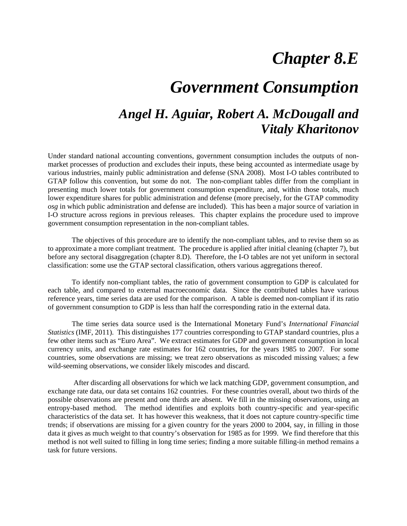## *Chapter 8.E*

# *Government Consumption*

### *Angel H. Aguiar, Robert A. McDougall and Vitaly Kharitonov*

Under standard national accounting conventions, government consumption includes the outputs of nonmarket processes of production and excludes their inputs, these being accounted as intermediate usage by various industries, mainly public administration and defense (SNA 2008). Most I-O tables contributed to GTAP follow this convention, but some do not. The non-compliant tables differ from the compliant in presenting much lower totals for government consumption expenditure, and, within those totals, much lower expenditure shares for public administration and defense (more precisely, for the GTAP commodity *osg* in which public administration and defense are included). This has been a major source of variation in I-O structure across regions in previous releases. This chapter explains the procedure used to improve government consumption representation in the non-compliant tables.

The objectives of this procedure are to identify the non-compliant tables, and to revise them so as to approximate a more compliant treatment. The procedure is applied after initial cleaning (chapter 7), but before any sectoral disaggregation (chapter 8.D). Therefore, the I-O tables are not yet uniform in sectoral classification: some use the GTAP sectoral classification, others various aggregations thereof.

To identify non-compliant tables, the ratio of government consumption to GDP is calculated for each table, and compared to external macroeconomic data. Since the contributed tables have various reference years, time series data are used for the comparison. A table is deemed non-compliant if its ratio of government consumption to GDP is less than half the corresponding ratio in the external data.

The time series data source used is the International Monetary Fund's *International Financial Statistics* (IMF, 2011). This distinguishes 177 countries corresponding to GTAP standard countries, plus a few other items such as "Euro Area". We extract estimates for GDP and government consumption in local currency units, and exchange rate estimates for 162 countries, for the years 1985 to 2007. For some countries, some observations are missing; we treat zero observations as miscoded missing values; a few wild-seeming observations, we consider likely miscodes and discard.

 After discarding all observations for which we lack matching GDP, government consumption, and exchange rate data, our data set contains 162 countries. For these countries overall, about two thirds of the possible observations are present and one thirds are absent. We fill in the missing observations, using an entropy-based method. The method identifies and exploits both country-specific and year-specific characteristics of the data set. It has however this weakness, that it does not capture country-specific time trends; if observations are missing for a given country for the years 2000 to 2004, say, in filling in those data it gives as much weight to that country's observation for 1985 as for 1999. We find therefore that this method is not well suited to filling in long time series; finding a more suitable filling-in method remains a task for future versions.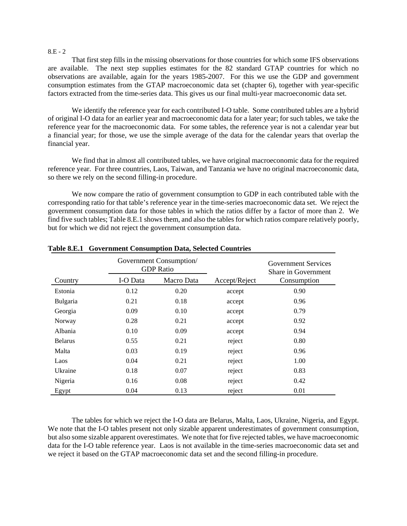#### 8.E - 2

That first step fills in the missing observations for those countries for which some IFS observations are available. The next step supplies estimates for the 82 standard GTAP countries for which no observations are available, again for the years 1985-2007. For this we use the GDP and government consumption estimates from the GTAP macroeconomic data set (chapter 6), together with year-specific factors extracted from the time-series data. This gives us our final multi-year macroeconomic data set.

We identify the reference year for each contributed I-O table. Some contributed tables are a hybrid of original I-O data for an earlier year and macroeconomic data for a later year; for such tables, we take the reference year for the macroeconomic data. For some tables, the reference year is not a calendar year but a financial year; for those, we use the simple average of the data for the calendar years that overlap the financial year.

We find that in almost all contributed tables, we have original macroeconomic data for the required reference year. For three countries, Laos, Taiwan, and Tanzania we have no original macroeconomic data, so there we rely on the second filling-in procedure.

We now compare the ratio of government consumption to GDP in each contributed table with the corresponding ratio for that table's reference year in the time-series macroeconomic data set. We reject the government consumption data for those tables in which the ratios differ by a factor of more than 2. We find five such tables; Table 8.E.1 shows them, and also the tables for which ratios compare relatively poorly, but for which we did not reject the government consumption data.

|                | Government Consumption/<br><b>GDP</b> Ratio |            |               | Government Services<br>Share in Government |
|----------------|---------------------------------------------|------------|---------------|--------------------------------------------|
| Country        | I-O Data                                    | Macro Data | Accept/Reject | Consumption                                |
| Estonia        | 0.12                                        | 0.20       | accept        | 0.90                                       |
| Bulgaria       | 0.21                                        | 0.18       | accept        | 0.96                                       |
| Georgia        | 0.09                                        | 0.10       | accept        | 0.79                                       |
| Norway         | 0.28                                        | 0.21       | accept        | 0.92                                       |
| Albania        | 0.10                                        | 0.09       | accept        | 0.94                                       |
| <b>Belarus</b> | 0.55                                        | 0.21       | reject        | 0.80                                       |
| Malta          | 0.03                                        | 0.19       | reject        | 0.96                                       |
| Laos           | 0.04                                        | 0.21       | reject        | 1.00                                       |
| Ukraine        | 0.18                                        | 0.07       | reject        | 0.83                                       |
| Nigeria        | 0.16                                        | 0.08       | reject        | 0.42                                       |
| Egypt          | 0.04                                        | 0.13       | reject        | 0.01                                       |

#### **Table 8.E.1 Government Consumption Data, Selected Countries**

The tables for which we reject the I-O data are Belarus, Malta, Laos, Ukraine, Nigeria, and Egypt. We note that the I-O tables present not only sizable apparent underestimates of government consumption, but also some sizable apparent overestimates. We note that for five rejected tables, we have macroeconomic data for the I-O table reference year. Laos is not available in the time-series macroeconomic data set and we reject it based on the GTAP macroeconomic data set and the second filling-in procedure.